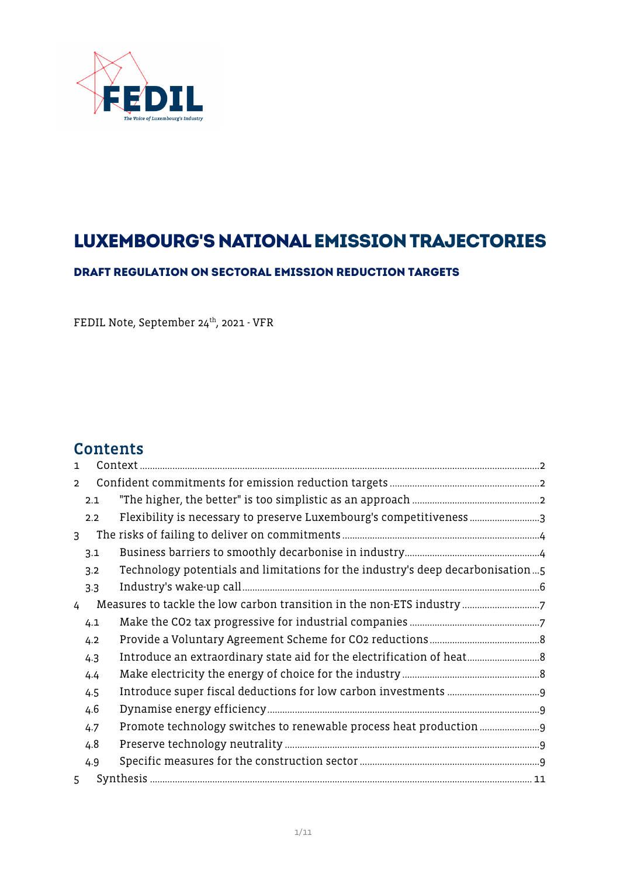

# LUXEMBOURG'S NATIONAL EMISSION TRAJECTORIES

DRAFT REGULATION ON SECTORAL EMISSION REDUCTION TARGETS

FEDIL Note, September 24<sup>th</sup>, 2021 - VFR

## **Contents**

| $\mathbf{1}$   |     |                                                                                |  |  |
|----------------|-----|--------------------------------------------------------------------------------|--|--|
| $\overline{2}$ |     |                                                                                |  |  |
|                | 2.1 |                                                                                |  |  |
|                | 2.2 |                                                                                |  |  |
| $\mathbf{3}$   |     |                                                                                |  |  |
|                | 3.1 |                                                                                |  |  |
|                | 3.2 | Technology potentials and limitations for the industry's deep decarbonisation5 |  |  |
|                | 3.3 |                                                                                |  |  |
| 4              |     |                                                                                |  |  |
|                | 4.1 |                                                                                |  |  |
|                | 4.2 |                                                                                |  |  |
|                | 4.3 |                                                                                |  |  |
|                | 4.4 |                                                                                |  |  |
|                | 4.5 |                                                                                |  |  |
|                | 4.6 |                                                                                |  |  |
|                | 4.7 |                                                                                |  |  |
|                | 4.8 |                                                                                |  |  |
|                | 4.9 |                                                                                |  |  |
| 5              |     |                                                                                |  |  |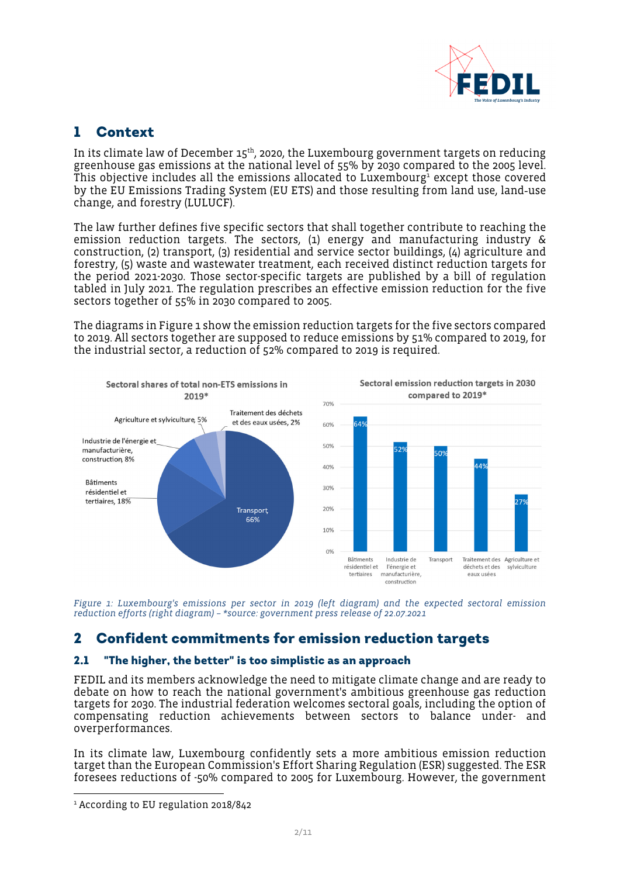

## <span id="page-1-0"></span>1 Context

In its climate law of December  $15<sup>th</sup>$ , 2020, the Luxembourg government targets on reducing greenhouse gas emissions at the national level of 55% by 2030 compared to the 2005 level. This objective includes all the emissions allocated to Luxembourg $^{\text{1}}$  $^{\text{1}}$  $^{\text{1}}$  except those covered by the EU Emissions Trading System (EU ETS) and those resulting from land use, land‑use change, and forestry (LULUCF).

The law further defines five specific sectors that shall together contribute to reaching the emission reduction targets. The sectors, (1) energy and manufacturing industry & construction, (2) transport, (3) residential and service sector buildings, (4) agriculture and forestry, (5) waste and wastewater treatment, each received distinct reduction targets for the period 2021-2030. Those sector-specific targets are published by a bill of regulation tabled in July 2021. The regulation prescribes an effective emission reduction for the five sectors together of 55% in 2030 compared to 2005.

The diagrams in [Figure 1](#page-1-3) show the emission reduction targets for the five sectors compared to 2019. All sectors together are supposed to reduce emissions by 51% compared to 2019, for the industrial sector, a reduction of 52% compared to 2019 is required.



<span id="page-1-3"></span>*Figure 1: Luxembourg's emissions per sector in 2019 (left diagram) and the expected sectoral emission reduction efforts (right diagram) – \*source: government press release of 22.07.2021* 

## <span id="page-1-1"></span>2 Confident commitments for emission reduction targets

#### <span id="page-1-2"></span>2.1 "The higher, the better" is too simplistic as an approach

FEDIL and its members acknowledge the need to mitigate climate change and are ready to debate on how to reach the national government's ambitious greenhouse gas reduction targets for 2030. The industrial federation welcomes sectoral goals, including the option of compensating reduction achievements between sectors to balance under- and overperformances.

In its climate law, Luxembourg confidently sets a more ambitious emission reduction target than the European Commission's Effort Sharing Regulation (ESR) suggested. The ESR foresees reductions of -50% compared to 2005 for Luxembourg. However, the government

<span id="page-1-4"></span><sup>1</sup> According to EU regulation 2018/842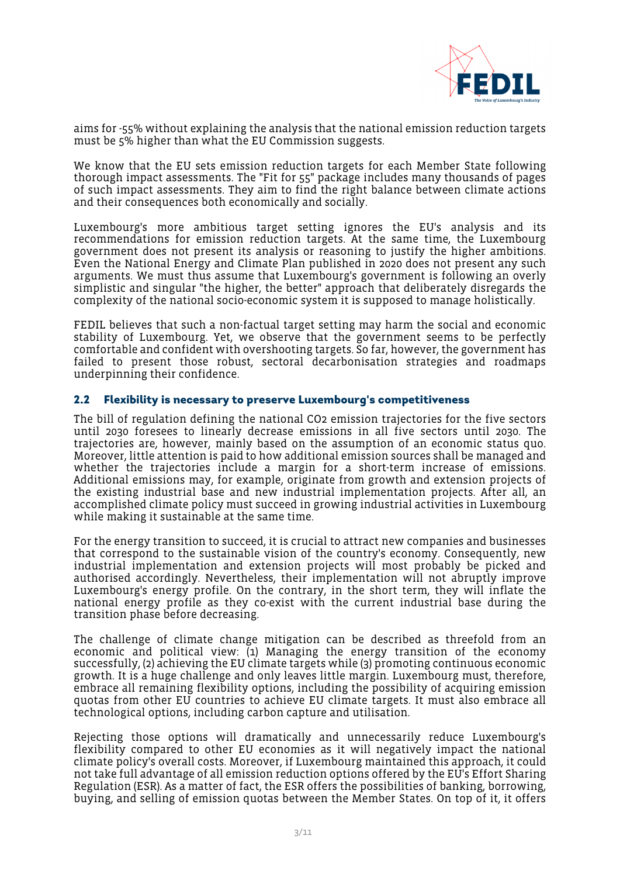

aims for -55% without explaining the analysis that the national emission reduction targets must be 5% higher than what the EU Commission suggests.

We know that the EU sets emission reduction targets for each Member State following thorough impact assessments. The "Fit for 55" package includes many thousands of pages of such impact assessments. They aim to find the right balance between climate actions and their consequences both economically and socially.

Luxembourg's more ambitious target setting ignores the EU's analysis and its recommendations for emission reduction targets. At the same time, the Luxembourg government does not present its analysis or reasoning to justify the higher ambitions. Even the National Energy and Climate Plan published in 2020 does not present any such arguments. We must thus assume that Luxembourg's government is following an overly simplistic and singular "the higher, the better" approach that deliberately disregards the complexity of the national socio-economic system it is supposed to manage holistically.

FEDIL believes that such a non-factual target setting may harm the social and economic stability of Luxembourg. Yet, we observe that the government seems to be perfectly comfortable and confident with overshooting targets. So far, however, the government has failed to present those robust, sectoral decarbonisation strategies and roadmaps underpinning their confidence.

#### <span id="page-2-0"></span>2.2 Flexibility is necessary to preserve Luxembourg's competitiveness

The bill of regulation defining the national CO2 emission trajectories for the five sectors until 2030 foresees to linearly decrease emissions in all five sectors until 2030. The trajectories are, however, mainly based on the assumption of an economic status quo. Moreover, little attention is paid to how additional emission sources shall be managed and whether the trajectories include a margin for a short-term increase of emissions. Additional emissions may, for example, originate from growth and extension projects of the existing industrial base and new industrial implementation projects. After all, an accomplished climate policy must succeed in growing industrial activities in Luxembourg while making it sustainable at the same time.

For the energy transition to succeed, it is crucial to attract new companies and businesses that correspond to the sustainable vision of the country's economy. Consequently, new industrial implementation and extension projects will most probably be picked and authorised accordingly. Nevertheless, their implementation will not abruptly improve Luxembourg's energy profile. On the contrary, in the short term, they will inflate the national energy profile as they co-exist with the current industrial base during the transition phase before decreasing.

The challenge of climate change mitigation can be described as threefold from an economic and political view:  $\overline{u}$ ) Managing the energy transition of the economy successfully, (2) achieving the EU climate targets while (3) promoting continuous economic growth. It is a huge challenge and only leaves little margin. Luxembourg must, therefore, embrace all remaining flexibility options, including the possibility of acquiring emission quotas from other EU countries to achieve EU climate targets. It must also embrace all technological options, including carbon capture and utilisation.

Rejecting those options will dramatically and unnecessarily reduce Luxembourg's flexibility compared to other EU economies as it will negatively impact the national climate policy's overall costs. Moreover, if Luxembourg maintained this approach, it could not take full advantage of all emission reduction options offered by the EU's Effort Sharing Regulation (ESR). As a matter of fact, the ESR offers the possibilities of banking, borrowing, buying, and selling of emission quotas between the Member States. On top of it, it offers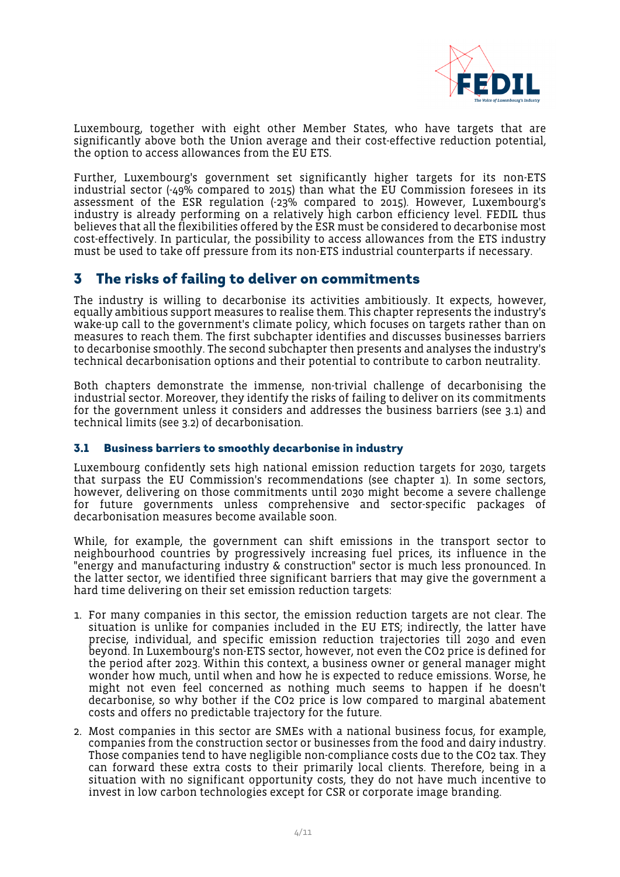

Luxembourg, together with eight other Member States, who have targets that are significantly above both the Union average and their cost-effective reduction potential, the option to access allowances from the EU ETS.

Further, Luxembourg's government set significantly higher targets for its non-ETS industrial sector (-49% compared to 2015) than what the EU Commission foresees in its assessment of the ESR regulation (-23% compared to 2015). However, Luxembourg's industry is already performing on a relatively high carbon efficiency level. FEDIL thus believes that all the flexibilities offered by the ESR must be considered to decarbonise most cost-effectively. In particular, the possibility to access allowances from the ETS industry must be used to take off pressure from its non-ETS industrial counterparts if necessary.

### <span id="page-3-0"></span>3 The risks of failing to deliver on commitments

The industry is willing to decarbonise its activities ambitiously. It expects, however, equally ambitious support measures to realise them. This chapter represents the industry's wake-up call to the government's climate policy, which focuses on targets rather than on measures to reach them. The first subchapter identifies and discusses businesses barriers to decarbonise smoothly. The second subchapter then presents and analyses the industry's technical decarbonisation options and their potential to contribute to carbon neutrality.

Both chapters demonstrate the immense, non-trivial challenge of decarbonising the industrial sector. Moreover, they identify the risks of failing to deliver on its commitments for the government unless it considers and addresses the business barriers (see [3.1\)](#page-3-1) and technical limits (see [3.2](#page-4-0)) of decarbonisation.

#### <span id="page-3-1"></span>3.1 Business barriers to smoothly decarbonise in industry

Luxembourg confidently sets high national emission reduction targets for 2030, targets that surpass the EU Commission's recommendations (see chapter [1](#page-1-0)). In some sectors, however, delivering on those commitments until 2030 might become a severe challenge for future governments unless comprehensive and sector-specific packages of decarbonisation measures become available soon.

While, for example, the government can shift emissions in the transport sector to neighbourhood countries by progressively increasing fuel prices, its influence in the "energy and manufacturing industry & construction" sector is much less pronounced. In the latter sector, we identified three significant barriers that may give the government a hard time delivering on their set emission reduction targets:

- 1. For many companies in this sector, the emission reduction targets are not clear. The situation is unlike for companies included in the EU ETS; indirectly, the latter have precise, individual, and specific emission reduction trajectories till 2030 and even beyond. In Luxembourg's non-ETS sector, however, not even the CO2 price is defined for the period after 2023. Within this context, a business owner or general manager might wonder how much, until when and how he is expected to reduce emissions. Worse, he might not even feel concerned as nothing much seems to happen if he doesn't decarbonise, so why bother if the CO2 price is low compared to marginal abatement costs and offers no predictable trajectory for the future.
- 2. Most companies in this sector are SMEs with a national business focus, for example, companies from the construction sector or businesses from the food and dairy industry. Those companies tend to have negligible non-compliance costs due to the CO2 tax. They can forward these extra costs to their primarily local clients. Therefore, being in a situation with no significant opportunity costs, they do not have much incentive to invest in low carbon technologies except for CSR or corporate image branding.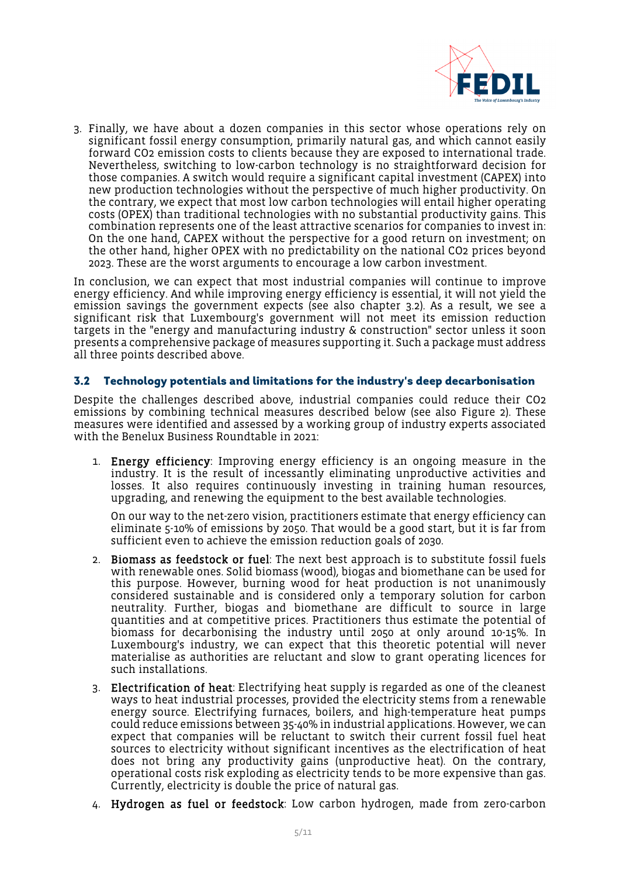

3. Finally, we have about a dozen companies in this sector whose operations rely on significant fossil energy consumption, primarily natural gas, and which cannot easily forward CO2 emission costs to clients because they are exposed to international trade. Nevertheless, switching to low-carbon technology is no straightforward decision for those companies. A switch would require a significant capital investment (CAPEX) into new production technologies without the perspective of much higher productivity. On the contrary, we expect that most low carbon technologies will entail higher operating costs (OPEX) than traditional technologies with no substantial productivity gains. This combination represents one of the least attractive scenarios for companies to invest in: On the one hand, CAPEX without the perspective for a good return on investment; on the other hand, higher OPEX with no predictability on the national CO2 prices beyond 2023. These are the worst arguments to encourage a low carbon investment.

In conclusion, we can expect that most industrial companies will continue to improve energy efficiency. And while improving energy efficiency is essential, it will not yield the emission savings the government expects (see also chapter [3.2](#page-4-0)). As a result, we see a significant risk that Luxembourg's government will not meet its emission reduction targets in the "energy and manufacturing industry & construction" sector unless it soon presents a comprehensive package of measures supporting it. Such a package must address all three points described above.

#### <span id="page-4-0"></span>3.2 Technology potentials and limitations for the industry's deep decarbonisation

Despite the challenges described above, industrial companies could reduce their CO2 emissions by combining technical measures described below (see also [Figure 2\)](#page-6-2). These measures were identified and assessed by a working group of industry experts associated with the Benelux Business Roundtable in 2021:

1. Energy efficiency: Improving energy efficiency is an ongoing measure in the industry. It is the result of incessantly eliminating unproductive activities and losses. It also requires continuously investing in training human resources, upgrading, and renewing the equipment to the best available technologies.

On our way to the net-zero vision, practitioners estimate that energy efficiency can eliminate 5-10% of emissions by 2050. That would be a good start, but it is far from sufficient even to achieve the emission reduction goals of 2030.

- 2. Biomass as feedstock or fuel: The next best approach is to substitute fossil fuels with renewable ones. Solid biomass (wood), biogas and biomethane can be used for this purpose. However, burning wood for heat production is not unanimously considered sustainable and is considered only a temporary solution for carbon neutrality. Further, biogas and biomethane are difficult to source in large quantities and at competitive prices. Practitioners thus estimate the potential of biomass for decarbonising the industry until 2050 at only around 10-15%. In Luxembourg's industry, we can expect that this theoretic potential will never materialise as authorities are reluctant and slow to grant operating licences for such installations.
- 3. Electrification of heat: Electrifying heat supply is regarded as one of the cleanest ways to heat industrial processes, provided the electricity stems from a renewable energy source. Electrifying furnaces, boilers, and high-temperature heat pumps could reduce emissions between 35-40% in industrial applications. However, we can expect that companies will be reluctant to switch their current fossil fuel heat sources to electricity without significant incentives as the electrification of heat does not bring any productivity gains (unproductive heat). On the contrary, operational costs risk exploding as electricity tends to be more expensive than gas. Currently, electricity is double the price of natural gas.
- 4. Hydrogen as fuel or feedstock: Low carbon hydrogen, made from zero-carbon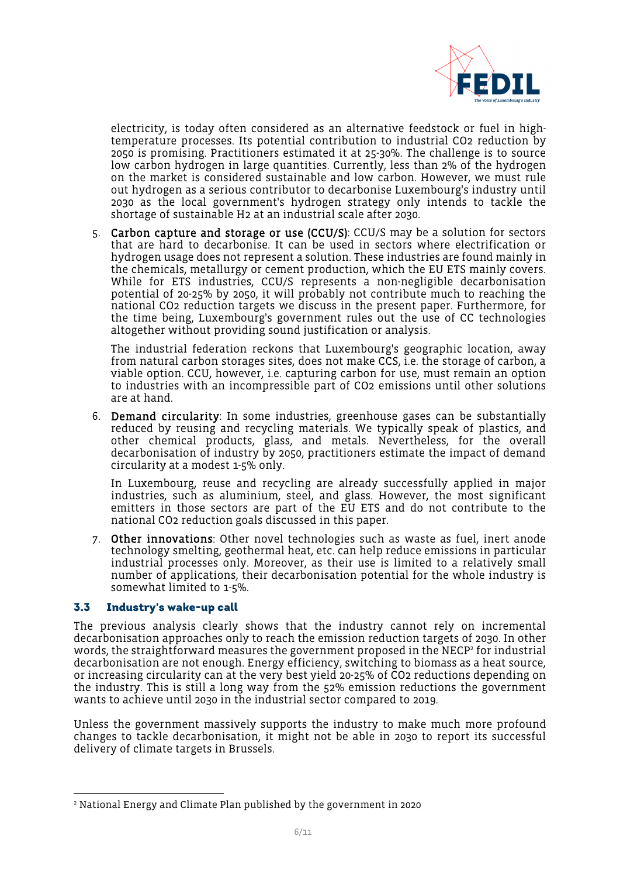

electricity, is today often considered as an alternative feedstock or fuel in hightemperature processes. Its potential contribution to industrial CO2 reduction by 2050 is promising. Practitioners estimated it at 25-30%. The challenge is to source low carbon hydrogen in large quantities. Currently, less than 2% of the hydrogen on the market is considered sustainable and low carbon. However, we must rule out hydrogen as a serious contributor to decarbonise Luxembourg's industry until 2030 as the local government's hydrogen strategy only intends to tackle the shortage of sustainable H2 at an industrial scale after 2030.

5. Carbon capture and storage or use (CCU/S): CCU/S may be a solution for sectors that are hard to decarbonise. It can be used in sectors where electrification or hydrogen usage does not represent a solution. These industries are found mainly in the chemicals, metallurgy or cement production, which the EU ETS mainly covers. While for ETS industries, CCU/S represents a non-negligible decarbonisation potential of 20-25% by 2050, it will probably not contribute much to reaching the national CO2 reduction targets we discuss in the present paper. Furthermore, for the time being, Luxembourg's government rules out the use of CC technologies altogether without providing sound justification or analysis.

The industrial federation reckons that Luxembourg's geographic location, away from natural carbon storages sites, does not make CCS, i.e. the storage of carbon, a viable option. CCU, however, i.e. capturing carbon for use, must remain an option to industries with an incompressible part of CO2 emissions until other solutions are at hand.

6. Demand circularity: In some industries, greenhouse gases can be substantially reduced by reusing and recycling materials. We typically speak of plastics, and other chemical products, glass, and metals. Nevertheless, for the overall decarbonisation of industry by 2050, practitioners estimate the impact of demand circularity at a modest 1-5% only.

In Luxembourg, reuse and recycling are already successfully applied in major industries, such as aluminium, steel, and glass. However, the most significant emitters in those sectors are part of the EU ETS and do not contribute to the national CO2 reduction goals discussed in this paper.

7. Other innovations: Other novel technologies such as waste as fuel, inert anode technology smelting, geothermal heat, etc. can help reduce emissions in particular industrial processes only. Moreover, as their use is limited to a relatively small number of applications, their decarbonisation potential for the whole industry is somewhat limited to 1-5%.

#### <span id="page-5-0"></span>3.3 Industry's wake-up call

The previous analysis clearly shows that the industry cannot rely on incremental decarbonisation approaches only to reach the emission reduction targets of 2030. In other words, the straightforward measures the government proposed in the NECP<sup>[2](#page-5-1)</sup> for industrial decarbonisation are not enough. Energy efficiency, switching to biomass as a heat source, or increasing circularity can at the very best yield 20-25% of CO2 reductions depending on the industry. This is still a long way from the 52% emission reductions the government wants to achieve until 2030 in the industrial sector compared to 2019.

Unless the government massively supports the industry to make much more profound changes to tackle decarbonisation, it might not be able in 2030 to report its successful delivery of climate targets in Brussels.

<span id="page-5-1"></span><sup>2</sup> National Energy and Climate Plan published by the government in 2020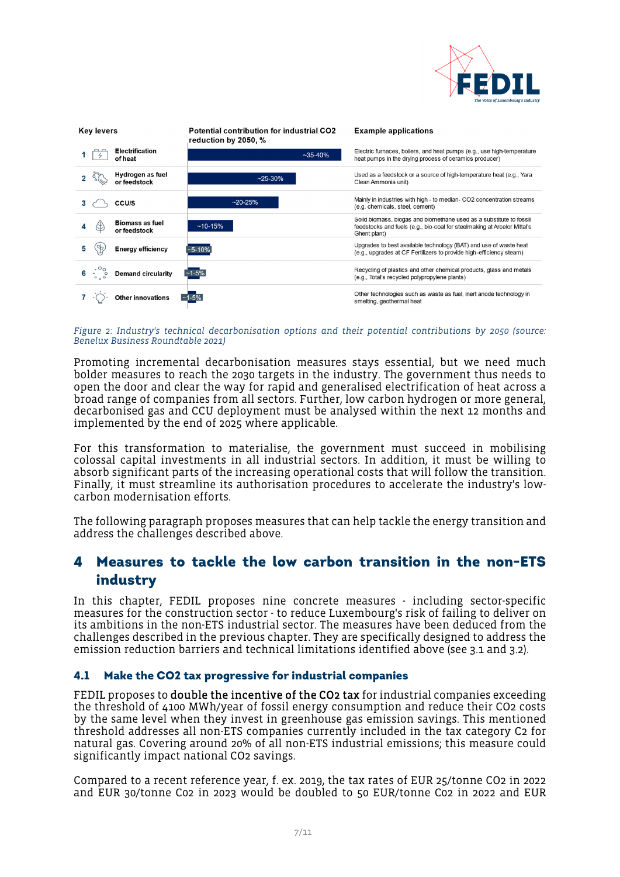

| Key levers                                             | <b>Potential contribution for industrial CO2</b><br>reduction by 2050, % | <b>Example applications</b>                                                                                                                                     |
|--------------------------------------------------------|--------------------------------------------------------------------------|-----------------------------------------------------------------------------------------------------------------------------------------------------------------|
| <b>Electrification</b><br>of heat                      | $~1$ ~35-40%                                                             | Electric furnaces, boilers, and heat pumps (e.g., use high-temperature<br>heat pumps in the drying process of ceramics producer)                                |
| Hydrogen as fuel<br>or feedstock                       | $~25 - 30%$                                                              | Used as a feedstock or a source of high-temperature heat (e.g., Yara<br>Clean Ammonia unit)                                                                     |
| CCU/S<br>з                                             | $~20 - 25%$                                                              | Mainly in industries with high - to median- CO2 concentration streams<br>(e.g. chemicals, steel, cement)                                                        |
| <b>Biomass as fuel</b><br>or feedstock                 | $~10-15%$                                                                | Solid biomass, biogas and biomethane used as a substitute to fossil<br>feedstocks and fuels (e.g., bio-coal for steelmaking at Arcelor Mittal's<br>Ghent plant) |
| <b>Energy efficiency</b>                               | $-5 - 10%$                                                               | Upgrades to best available technology (BAT) and use of waste heat<br>(e.g., upgrades at CF Fertilizers to provide high-efficiency steam)                        |
| $\cdot \cdot \cdot \cdot$<br><b>Demand circularity</b> | $-1 - 5\%$                                                               | Recycling of plastics and other chemical products, glass and metals<br>(e.g., Total's recycled polypropylene plants)                                            |
| <b>Other innovations</b>                               | $~1 - 5%$                                                                | Other technologies such as waste as fuel, inert anode technology in<br>smelting, geothermal heat                                                                |

#### <span id="page-6-2"></span>*Figure 2: Industry's technical decarbonisation options and their potential contributions by 2050 (source: Benelux Business Roundtable 2021)*

Promoting incremental decarbonisation measures stays essential, but we need much bolder measures to reach the 2030 targets in the industry. The government thus needs to open the door and clear the way for rapid and generalised electrification of heat across a broad range of companies from all sectors. Further, low carbon hydrogen or more general, decarbonised gas and CCU deployment must be analysed within the next 12 months and implemented by the end of 2025 where applicable.

For this transformation to materialise, the government must succeed in mobilising colossal capital investments in all industrial sectors. In addition, it must be willing to absorb significant parts of the increasing operational costs that will follow the transition. Finally, it must streamline its authorisation procedures to accelerate the industry's lowcarbon modernisation efforts.

The following paragraph proposes measures that can help tackle the energy transition and address the challenges described above.

### <span id="page-6-0"></span>4 Measures to tackle the low carbon transition in the non-ETS industry

In this chapter, FEDIL proposes nine concrete measures - including sector-specific measures for the construction sector - to reduce Luxembourg's risk of failing to deliver on its ambitions in the non-ETS industrial sector. The measures have been deduced from the challenges described in the previous chapter. They are specifically designed to address the emission reduction barriers and technical limitations identified above (see [3.1](#page-3-1) and [3.2\)](#page-4-0).

#### <span id="page-6-1"></span>4.1 Make the CO2 tax progressive for industrial companies

FEDIL proposes to **double the incentive of the CO2 tax** for industrial companies exceeding the threshold of 4100 MWh/year of fossil energy consumption and reduce their CO2 costs by the same level when they invest in greenhouse gas emission savings. This mentioned threshold addresses all non-ETS companies currently included in the tax category C2 for natural gas. Covering around 20% of all non-ETS industrial emissions; this measure could significantly impact national CO2 savings.

Compared to a recent reference year, f. ex. 2019, the tax rates of EUR 25/tonne CO2 in 2022 and EUR 30/tonne C02 in 2023 would be doubled to 50 EUR/tonne C02 in 2022 and EUR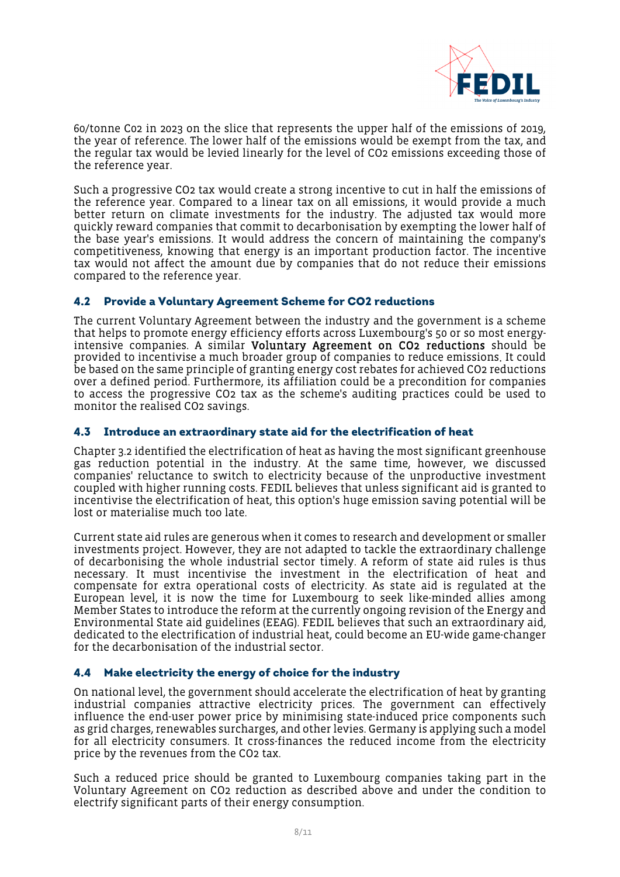

60/tonne C02 in 2023 on the slice that represents the upper half of the emissions of 2019, the year of reference. The lower half of the emissions would be exempt from the tax, and the regular tax would be levied linearly for the level of CO2 emissions exceeding those of the reference year.

Such a progressive CO2 tax would create a strong incentive to cut in half the emissions of the reference year. Compared to a linear tax on all emissions, it would provide a much better return on climate investments for the industry. The adjusted tax would more quickly reward companies that commit to decarbonisation by exempting the lower half of the base year's emissions. It would address the concern of maintaining the company's competitiveness, knowing that energy is an important production factor. The incentive tax would not affect the amount due by companies that do not reduce their emissions compared to the reference year.

#### <span id="page-7-0"></span>4.2 Provide a Voluntary Agreement Scheme for CO2 reductions

The current Voluntary Agreement between the industry and the government is a scheme that helps to promote energy efficiency efforts across Luxembourg's 50 or so most energyintensive companies. A similar Voluntary Agreement on CO2 reductions should be provided to incentivise a much broader group of companies to reduce emissions. It could be based on the same principle of granting energy cost rebates for achieved CO2 reductions over a defined period. Furthermore, its affiliation could be a precondition for companies to access the progressive CO2 tax as the scheme's auditing practices could be used to monitor the realised CO2 savings.

#### <span id="page-7-1"></span>4.3 Introduce an extraordinary state aid for the electrification of heat

Chapter 3.2 identified the electrification of heat as having the most significant greenhouse gas reduction potential in the industry. At the same time, however, we discussed companies' reluctance to switch to electricity because of the unproductive investment coupled with higher running costs. FEDIL believes that unless significant aid is granted to incentivise the electrification of heat, this option's huge emission saving potential will be lost or materialise much too late.

Current state aid rules are generous when it comes to research and development or smaller investments project. However, they are not adapted to tackle the extraordinary challenge of decarbonising the whole industrial sector timely. A reform of state aid rules is thus necessary. It must incentivise the investment in the electrification of heat and compensate for extra operational costs of electricity. As state aid is regulated at the European level, it is now the time for Luxembourg to seek like-minded allies among Member States to introduce the reform at the currently ongoing revision of the Energy and Environmental State aid guidelines (EEAG). FEDIL believes that such an extraordinary aid, dedicated to the electrification of industrial heat, could become an EU-wide game-changer for the decarbonisation of the industrial sector.

#### <span id="page-7-2"></span>4.4 Make electricity the energy of choice for the industry

On national level, the government should accelerate the electrification of heat by granting industrial companies attractive electricity prices. The government can effectively influence the end-user power price by minimising state-induced price components such as grid charges, renewables surcharges, and other levies. Germany is applying such a model for all electricity consumers. It cross-finances the reduced income from the electricity price by the revenues from the CO2 tax.

Such a reduced price should be granted to Luxembourg companies taking part in the Voluntary Agreement on CO2 reduction as described above and under the condition to electrify significant parts of their energy consumption.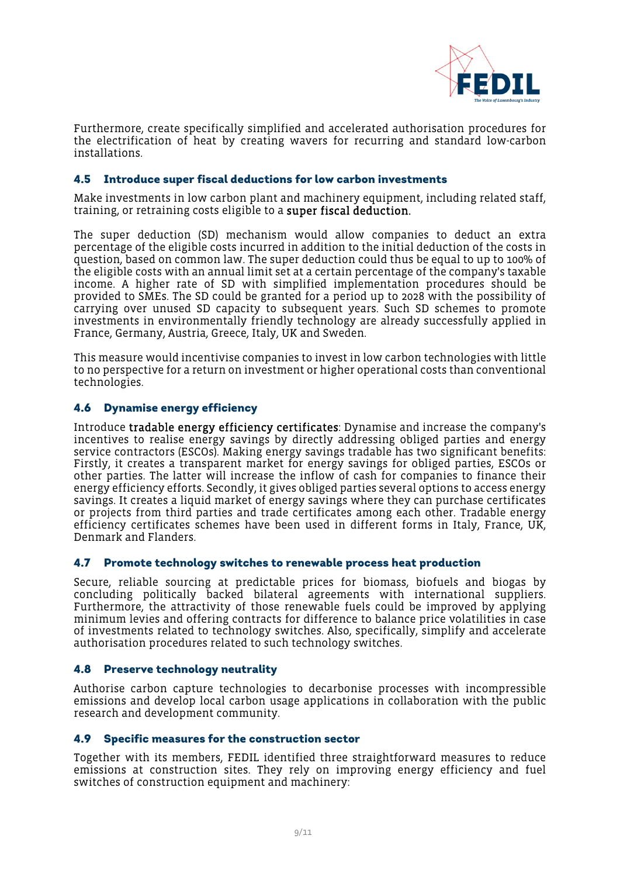

Furthermore, create specifically simplified and accelerated authorisation procedures for the electrification of heat by creating wavers for recurring and standard low-carbon installations.

#### <span id="page-8-0"></span>4.5 Introduce super fiscal deductions for low carbon investments

Make investments in low carbon plant and machinery equipment, including related staff, training, or retraining costs eligible to a super fiscal deduction.

The super deduction (SD) mechanism would allow companies to deduct an extra percentage of the eligible costs incurred in addition to the initial deduction of the costs in question, based on common law. The super deduction could thus be equal to up to 100% of the eligible costs with an annual limit set at a certain percentage of the company's taxable income. A higher rate of SD with simplified implementation procedures should be provided to SMEs. The SD could be granted for a period up to 2028 with the possibility of carrying over unused SD capacity to subsequent years. Such SD schemes to promote investments in environmentally friendly technology are already successfully applied in France, Germany, Austria, Greece, Italy, UK and Sweden.

This measure would incentivise companies to invest in low carbon technologies with little to no perspective for a return on investment or higher operational costs than conventional technologies.

#### <span id="page-8-1"></span>4.6 Dynamise energy efficiency

Introduce tradable energy efficiency certificates: Dynamise and increase the company's incentives to realise energy savings by directly addressing obliged parties and energy service contractors (ESCOs). Making energy savings tradable has two significant benefits: Firstly, it creates a transparent market for energy savings for obliged parties, ESCOs or other parties. The latter will increase the inflow of cash for companies to finance their energy efficiency efforts. Secondly, it gives obliged parties several options to access energy savings. It creates a liquid market of energy savings where they can purchase certificates or projects from third parties and trade certificates among each other. Tradable energy efficiency certificates schemes have been used in different forms in Italy, France, UK, Denmark and Flanders.

#### <span id="page-8-2"></span>4.7 Promote technology switches to renewable process heat production

Secure, reliable sourcing at predictable prices for biomass, biofuels and biogas by concluding politically backed bilateral agreements with international suppliers. Furthermore, the attractivity of those renewable fuels could be improved by applying minimum levies and offering contracts for difference to balance price volatilities in case of investments related to technology switches. Also, specifically, simplify and accelerate authorisation procedures related to such technology switches.

#### <span id="page-8-3"></span>4.8 Preserve technology neutrality

Authorise carbon capture technologies to decarbonise processes with incompressible emissions and develop local carbon usage applications in collaboration with the public research and development community.

#### <span id="page-8-4"></span>4.9 Specific measures for the construction sector

Together with its members, FEDIL identified three straightforward measures to reduce emissions at construction sites. They rely on improving energy efficiency and fuel switches of construction equipment and machinery: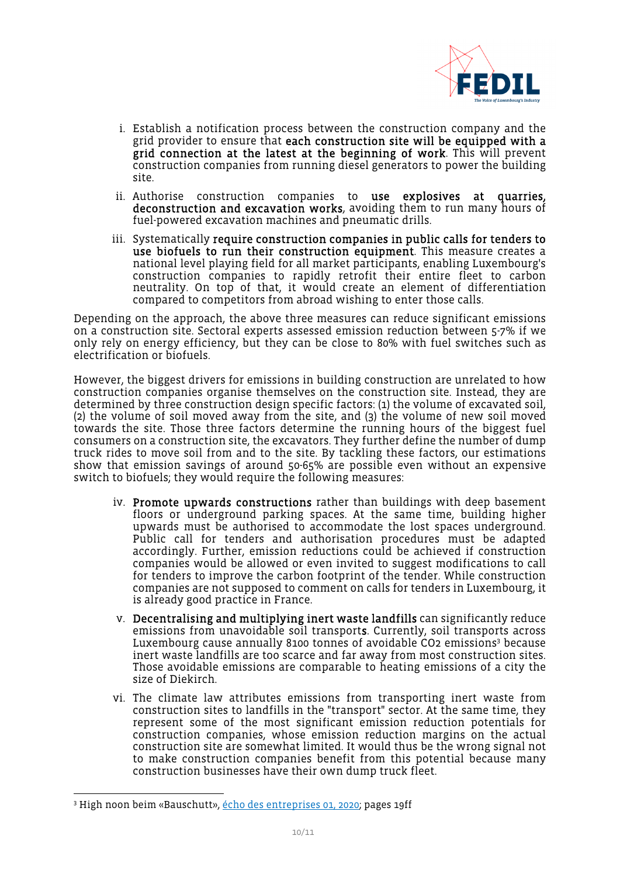

- i. Establish a notification process between the construction company and the grid provider to ensure that each construction site will be equipped with a grid connection at the latest at the beginning of work. This will prevent construction companies from running diesel generators to power the building site.
- ii. Authorise construction companies to use explosives at quarries, deconstruction and excavation works, avoiding them to run many hours of fuel-powered excavation machines and pneumatic drills.
- iii. Systematically require construction companies in public calls for tenders to use biofuels to run their construction equipment. This measure creates a national level playing field for all market participants, enabling Luxembourg's construction companies to rapidly retrofit their entire fleet to carbon neutrality. On top of that, it would create an element of differentiation compared to competitors from abroad wishing to enter those calls.

Depending on the approach, the above three measures can reduce significant emissions on a construction site. Sectoral experts assessed emission reduction between 5-7% if we only rely on energy efficiency, but they can be close to 80% with fuel switches such as electrification or biofuels.

However, the biggest drivers for emissions in building construction are unrelated to how construction companies organise themselves on the construction site. Instead, they are determined by three construction design specific factors: (1) the volume of excavated soil, (2) the volume of soil moved away from the site, and (3) the volume of new soil moved towards the site. Those three factors determine the running hours of the biggest fuel consumers on a construction site, the excavators. They further define the number of dump truck rides to move soil from and to the site. By tackling these factors, our estimations show that emission savings of around 50-65% are possible even without an expensive switch to biofuels; they would require the following measures:

- iv. Promote upwards constructions rather than buildings with deep basement floors or underground parking spaces. At the same time, building higher upwards must be authorised to accommodate the lost spaces underground. Public call for tenders and authorisation procedures must be adapted accordingly. Further, emission reductions could be achieved if construction companies would be allowed or even invited to suggest modifications to call for tenders to improve the carbon footprint of the tender. While construction companies are not supposed to comment on calls for tenders in Luxembourg, it is already good practice in France.
- v. Decentralising and multiplying inert waste landfills can significantly reduce emissions from unavoidable soil transports. Currently, soil transports across Luxembourg cause annually 8100 tonnes of avoidable CO[2 emissions](#page-9-0)<sup>3</sup> because inert waste landfills are too scarce and far away from most construction sites. Those avoidable emissions are comparable to heating emissions of a city the size of Diekirch.
- vi. The climate law attributes emissions from transporting inert waste from construction sites to landfills in the "transport" sector. At the same time, they represent some of the most significant emission reduction potentials for construction companies, whose emission reduction margins on the actual construction site are somewhat limited. It would thus be the wrong signal not to make construction companies benefit from this potential because many construction businesses have their own dump truck fleet.

<span id="page-9-0"></span><sup>&</sup>lt;sup>3</sup> High noon beim «Bauschutt», <u>écho des entreprises 01, 2020</u>; pages 19ff